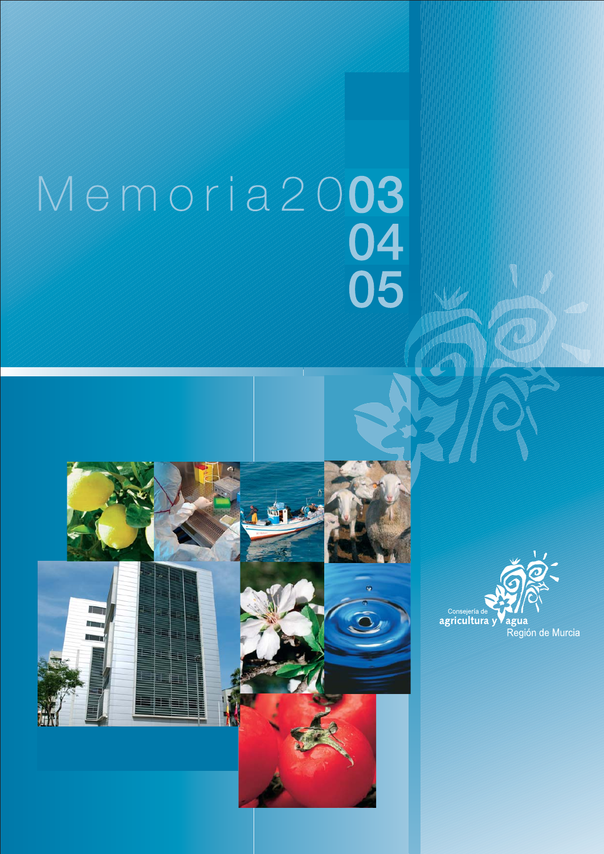## Memoria 2003<br>04<br>05



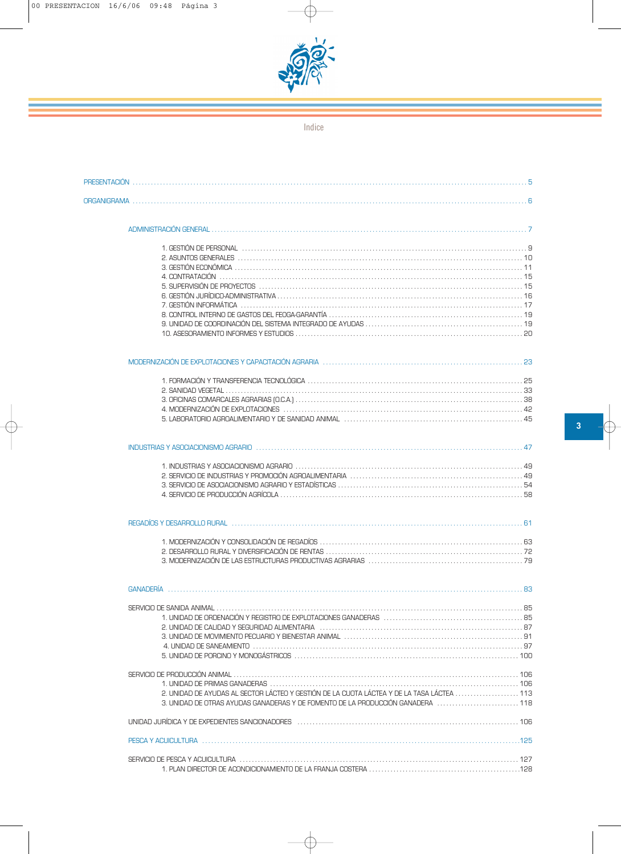

Indice

| 2. ASUNTOS GENERALES                                                                                                                                                                                                           |  |
|--------------------------------------------------------------------------------------------------------------------------------------------------------------------------------------------------------------------------------|--|
|                                                                                                                                                                                                                                |  |
|                                                                                                                                                                                                                                |  |
| 5. SUPERVISIÓN DE PROYECTOS                                                                                                                                                                                                    |  |
|                                                                                                                                                                                                                                |  |
|                                                                                                                                                                                                                                |  |
|                                                                                                                                                                                                                                |  |
|                                                                                                                                                                                                                                |  |
|                                                                                                                                                                                                                                |  |
|                                                                                                                                                                                                                                |  |
|                                                                                                                                                                                                                                |  |
|                                                                                                                                                                                                                                |  |
|                                                                                                                                                                                                                                |  |
|                                                                                                                                                                                                                                |  |
| 5. LABORATORIO AGROALIMENTARIO Y DE SANIDAD ANIMAL                                                                                                                                                                             |  |
| INDUSTRIAS Y ASOCIACIONISMO AGRARIO (1111) (1111) (1211) (1211) (1212) (1212) (1212) (1212) (1212) (1212) (121                                                                                                                 |  |
|                                                                                                                                                                                                                                |  |
|                                                                                                                                                                                                                                |  |
|                                                                                                                                                                                                                                |  |
|                                                                                                                                                                                                                                |  |
|                                                                                                                                                                                                                                |  |
| REGADÍOS Y DESARROLLO RURAL (1990) (1990) (1990) (1990) (1990) (1990) (1990) (1990) (1990) (1990) (1990) (1990) (1990) (1990) (1990) (1990) (1990) (1990) (1990) (1990) (1990) (1990) (1990) (1990) (1990) (1990) (1990) (1990 |  |
|                                                                                                                                                                                                                                |  |
|                                                                                                                                                                                                                                |  |
|                                                                                                                                                                                                                                |  |
| <b>GANADERÍA</b>                                                                                                                                                                                                               |  |
|                                                                                                                                                                                                                                |  |
|                                                                                                                                                                                                                                |  |
|                                                                                                                                                                                                                                |  |
|                                                                                                                                                                                                                                |  |
|                                                                                                                                                                                                                                |  |
|                                                                                                                                                                                                                                |  |
|                                                                                                                                                                                                                                |  |
|                                                                                                                                                                                                                                |  |
|                                                                                                                                                                                                                                |  |
| 2 LINIDAD DE AYLIDAS AL SECTOR LÁCTEO Y GESTIÓN DE LA CLIOTA LÁCTEA Y DE LA TASA LÁCTEA (2005) 2 LINIDAD DE LA<br>3. UNIDAD DE OTRAS AYUDAS GANADERAS Y DE FOMENTO DE LA PRODUCCIÓN GANADERA 118                               |  |
| UNIDAD JURÍDICA Y DE EXPEDIENTES SANCIONADORES produto de la contrata de la contrata de la contrata de la cont                                                                                                                 |  |
|                                                                                                                                                                                                                                |  |
|                                                                                                                                                                                                                                |  |
|                                                                                                                                                                                                                                |  |
|                                                                                                                                                                                                                                |  |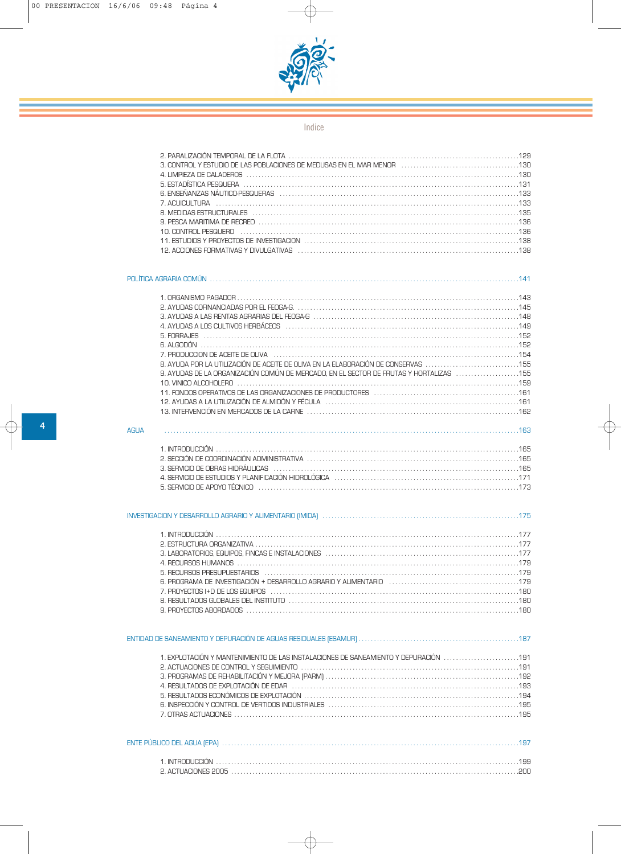

## Indice

| 6. ENSEÑANZAS NÁUTICO-PESQUERAS                                          |  |
|--------------------------------------------------------------------------|--|
|                                                                          |  |
|                                                                          |  |
|                                                                          |  |
|                                                                          |  |
|                                                                          |  |
| 12. ACCIONES FORMATIVAS Y DIVULGATIVAS (CONCERNATION CONTROVERSION) (138 |  |
|                                                                          |  |

|                                                                                                                                                                                                                                                                                                                                                                                                          | 141 |
|----------------------------------------------------------------------------------------------------------------------------------------------------------------------------------------------------------------------------------------------------------------------------------------------------------------------------------------------------------------------------------------------------------|-----|
| 5 FORRA JFS<br>A ALGODÓN<br>8. AYUDA POR LA UTILIZACIÓN DE ACEITE DE OLIVA EN LA ELABORACIÓN DE CONSERVAS 155<br>9. AYUDAS DE LA ORGANIZACIÓN COMÚN DE MERCADO. EN EL SECTOR DE FRUTAS Y HORTALIZAS 155<br>10 VINICO AI COHOLERO<br>161. FONDOS OPERATIVOS DE LAS ORGANIZACIONES DE PRODUCTORES<br>13. INTERVENCIÓN EN MERCADOS DE LA CARNE (1999) (1999) (1999) (1999) (1999) (1999) (1999) (1999) (199 |     |
| <b>AGUA</b>                                                                                                                                                                                                                                                                                                                                                                                              |     |
| 3. SERVICIO DE OBRAS HIDRÁULICAS (1999) (1999) (1999) (1999) (1999) (1999) (1999) (1999) (1999) (199<br>171. SERVICIO DE ESTUDIOS Y PLANIFICACIÓN HIDROLÓGICA<br>5 SERVICIO DE APOYO TÉCNICO                                                                                                                                                                                                             |     |

|  | <u>INVESTIGACION Y DESARROLLO AGRARIO Y ALIMENTARIO (IMIDA) aliani aliani aliani aliani aliani aliani aliani 175</u> |  |
|--|----------------------------------------------------------------------------------------------------------------------|--|
|  |                                                                                                                      |  |

| 4. RECURSOS HUMANOS (and according to the contract of the contract of the contract of the contract of the contract of the contract of the contract of the contract of the contract of the contract of the contract of the cont |  |
|--------------------------------------------------------------------------------------------------------------------------------------------------------------------------------------------------------------------------------|--|
|                                                                                                                                                                                                                                |  |
|                                                                                                                                                                                                                                |  |
|                                                                                                                                                                                                                                |  |
|                                                                                                                                                                                                                                |  |
|                                                                                                                                                                                                                                |  |

| 1. EXPLOTACIÓN Y MANTENIMIENTO DE LAS INSTALACIONES DE SANEAMIENTO Y DEPURACIÓN 191 |  |
|-------------------------------------------------------------------------------------|--|
|                                                                                     |  |

| INITRO             |  |
|--------------------|--|
| 2 ACTUACIONES 2005 |  |